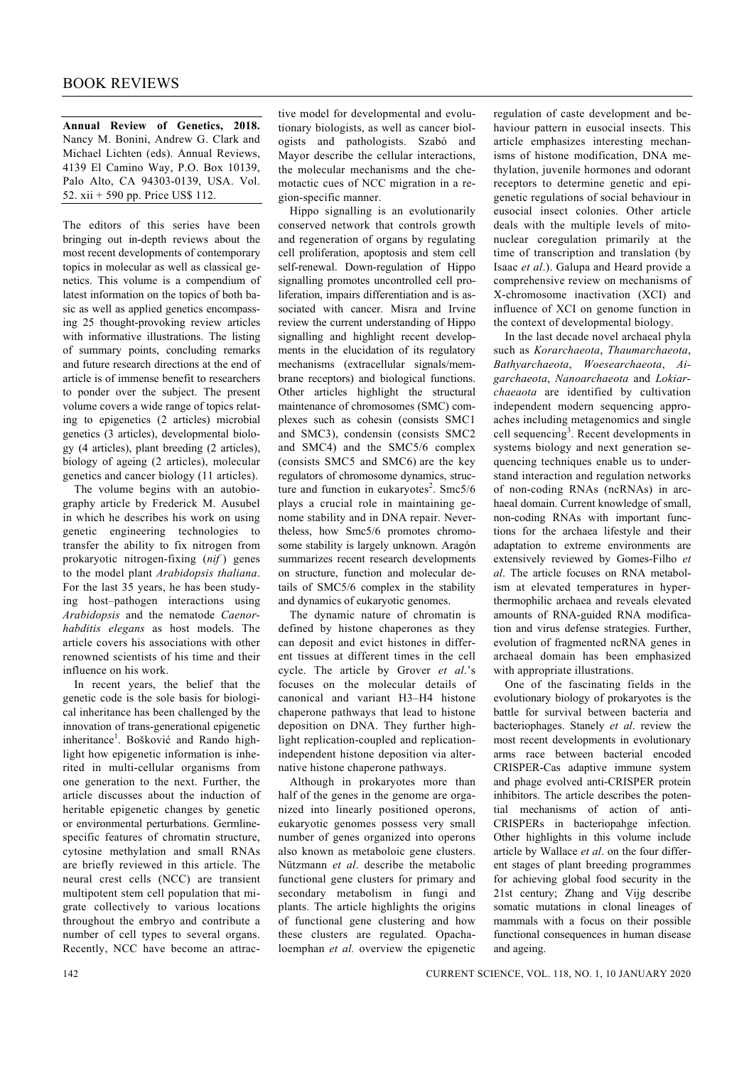**Annual Review of Genetics, 2018.** Nancy M. Bonini, Andrew G. Clark and Michael Lichten (eds). Annual Reviews, 4139 El Camino Way, P.O. Box 10139, Palo Alto, CA 94303-0139, USA. Vol. 52. xii + 590 pp. Price US\$ 112.

The editors of this series have been bringing out in-depth reviews about the most recent developments of contemporary topics in molecular as well as classical genetics. This volume is a compendium of latest information on the topics of both basic as well as applied genetics encompassing 25 thought-provoking review articles with informative illustrations. The listing of summary points, concluding remarks and future research directions at the end of article is of immense benefit to researchers to ponder over the subject. The present volume covers a wide range of topics relating to epigenetics (2 articles) microbial genetics (3 articles), developmental biology (4 articles), plant breeding (2 articles), biology of ageing (2 articles), molecular genetics and cancer biology (11 articles).

 The volume begins with an autobiography article by Frederick M. Ausubel in which he describes his work on using genetic engineering technologies to transfer the ability to fix nitrogen from prokaryotic nitrogen-fixing (*nif* ) genes to the model plant *Arabidopsis thaliana*. For the last 35 years, he has been studying host–pathogen interactions using *Arabidopsis* and the nematode *Caenorhabditis elegans* as host models. The article covers his associations with other renowned scientists of his time and their influence on his work.

 In recent years, the belief that the genetic code is the sole basis for biological inheritance has been challenged by the innovation of trans-generational epigenetic inheritance<sup>1</sup>. Bošković and Rando highlight how epigenetic information is inherited in multi-cellular organisms from one generation to the next. Further, the article discusses about the induction of heritable epigenetic changes by genetic or environmental perturbations. Germlinespecific features of chromatin structure, cytosine methylation and small RNAs are briefly reviewed in this article. The neural crest cells (NCC) are transient multipotent stem cell population that migrate collectively to various locations throughout the embryo and contribute a number of cell types to several organs. Recently, NCC have become an attrac-

tive model for developmental and evolutionary biologists, as well as cancer biologists and pathologists. Szabó and Mayor describe the cellular interactions, the molecular mechanisms and the chemotactic cues of NCC migration in a region-specific manner.

 Hippo signalling is an evolutionarily conserved network that controls growth and regeneration of organs by regulating cell proliferation, apoptosis and stem cell self-renewal. Down-regulation of Hippo signalling promotes uncontrolled cell proliferation, impairs differentiation and is associated with cancer. Misra and Irvine review the current understanding of Hippo signalling and highlight recent developments in the elucidation of its regulatory mechanisms (extracellular signals/membrane receptors) and biological functions. Other articles highlight the structural maintenance of chromosomes (SMC) complexes such as cohesin (consists SMC1 and SMC3), condensin (consists SMC2 and SMC4) and the SMC5/6 complex (consists SMC5 and SMC6) are the key regulators of chromosome dynamics, structure and function in eukaryotes<sup>2</sup>. Smc5/6 plays a crucial role in maintaining genome stability and in DNA repair. Nevertheless, how Smc5/6 promotes chromosome stability is largely unknown. Aragón summarizes recent research developments on structure, function and molecular details of SMC5/6 complex in the stability and dynamics of eukaryotic genomes.

 The dynamic nature of chromatin is defined by histone chaperones as they can deposit and evict histones in different tissues at different times in the cell cycle. The article by Grover *et al*.'s focuses on the molecular details of canonical and variant H3–H4 histone chaperone pathways that lead to histone deposition on DNA. They further highlight replication-coupled and replicationindependent histone deposition via alternative histone chaperone pathways.

 Although in prokaryotes more than half of the genes in the genome are organized into linearly positioned operons, eukaryotic genomes possess very small number of genes organized into operons also known as metaboloic gene clusters. Nützmann *et al*. describe the metabolic functional gene clusters for primary and secondary metabolism in fungi and plants. The article highlights the origins of functional gene clustering and how these clusters are regulated. Opachaloemphan *et al.* overview the epigenetic regulation of caste development and behaviour pattern in eusocial insects. This article emphasizes interesting mechanisms of histone modification, DNA methylation, juvenile hormones and odorant receptors to determine genetic and epigenetic regulations of social behaviour in eusocial insect colonies. Other article deals with the multiple levels of mitonuclear coregulation primarily at the time of transcription and translation (by Isaac *et al*.). Galupa and Heard provide a comprehensive review on mechanisms of X-chromosome inactivation (XCI) and influence of XCI on genome function in the context of developmental biology.

 In the last decade novel archaeal phyla such as *Korarchaeota*, *Thaumarchaeota*, *Bathyarchaeota*, *Woesearchaeota*, *Aigarchaeota*, *Nanoarchaeota* and *Lokiarchaeaota* are identified by cultivation independent modern sequencing approaches including metagenomics and single cell sequencing<sup>3</sup>. Recent developments in systems biology and next generation sequencing techniques enable us to understand interaction and regulation networks of non-coding RNAs (ncRNAs) in archaeal domain. Current knowledge of small, non-coding RNAs with important functions for the archaea lifestyle and their adaptation to extreme environments are extensively reviewed by Gomes-Filho *et al*. The article focuses on RNA metabolism at elevated temperatures in hyperthermophilic archaea and reveals elevated amounts of RNA-guided RNA modification and virus defense strategies. Further, evolution of fragmented ncRNA genes in archaeal domain has been emphasized with appropriate illustrations.

 One of the fascinating fields in the evolutionary biology of prokaryotes is the battle for survival between bacteria and bacteriophages. Stanely *et al*. review the most recent developments in evolutionary arms race between bacterial encoded CRISPER-Cas adaptive immune system and phage evolved anti-CRISPER protein inhibitors. The article describes the potential mechanisms of action of anti-CRISPERs in bacteriopahge infection. Other highlights in this volume include article by Wallace *et al*. on the four different stages of plant breeding programmes for achieving global food security in the 21st century; Zhang and Vijg describe somatic mutations in clonal lineages of mammals with a focus on their possible functional consequences in human disease and ageing.